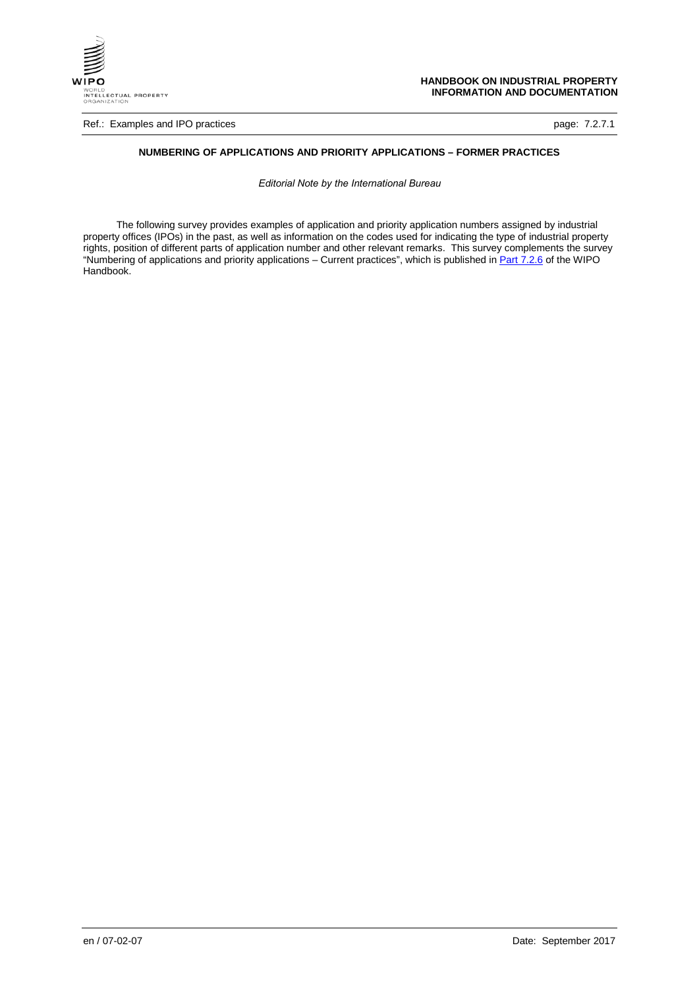

Ref.: Examples and IPO practices **page: 7.2.7.1 page: 7.2.7.1** 

#### **NUMBERING OF APPLICATIONS AND PRIORITY APPLICATIONS – FORMER PRACTICES**

*Editorial Note by the International Bureau*

The following survey provides examples of application and priority application numbers assigned by industrial property offices (IPOs) in the past, as well as information on the codes used for indicating the type of industrial property rights, position of different parts of application number and other relevant remarks. This survey complements the survey "Numbering of applications and priority applications – Current practices", which is published in <u>[Part 7.2.6](http://www.wipo.int/standards/en/pdf/07-02-06.pdf)</u> of the WIPO Handbook.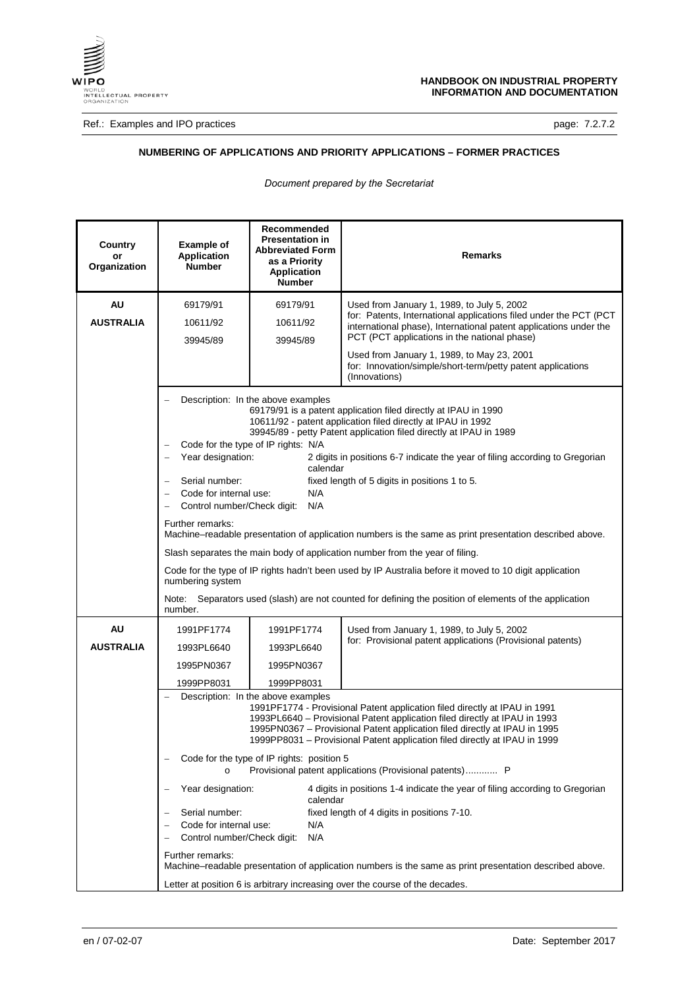

Ref.: Examples and IPO practices **page: 7.2.7.2** 

## **NUMBERING OF APPLICATIONS AND PRIORITY APPLICATIONS – FORMER PRACTICES**

*Document prepared by the Secretariat*

| Country<br>or<br>Organization | <b>Example of</b><br><b>Application</b><br><b>Number</b>                                                                                                                             | Recommended<br><b>Presentation in</b><br><b>Abbreviated Form</b><br>as a Priority<br><b>Application</b><br><b>Number</b> | <b>Remarks</b>                                                                                                                                                                                                                                                                                                                                                                                                                                                                                                                                                                                                                                                                                                                                   |
|-------------------------------|--------------------------------------------------------------------------------------------------------------------------------------------------------------------------------------|--------------------------------------------------------------------------------------------------------------------------|--------------------------------------------------------------------------------------------------------------------------------------------------------------------------------------------------------------------------------------------------------------------------------------------------------------------------------------------------------------------------------------------------------------------------------------------------------------------------------------------------------------------------------------------------------------------------------------------------------------------------------------------------------------------------------------------------------------------------------------------------|
| AU<br><b>AUSTRALIA</b>        | 69179/91<br>10611/92<br>39945/89                                                                                                                                                     | 69179/91<br>10611/92<br>39945/89                                                                                         | Used from January 1, 1989, to July 5, 2002<br>for: Patents, International applications filed under the PCT (PCT<br>international phase), International patent applications under the<br>PCT (PCT applications in the national phase)                                                                                                                                                                                                                                                                                                                                                                                                                                                                                                             |
|                               |                                                                                                                                                                                      |                                                                                                                          | Used from January 1, 1989, to May 23, 2001<br>for: Innovation/simple/short-term/petty patent applications<br>(Innovations)                                                                                                                                                                                                                                                                                                                                                                                                                                                                                                                                                                                                                       |
|                               | Year designation:<br>$\overline{\phantom{0}}$<br>Serial number:<br>Code for internal use:<br>Control number/Check digit:<br>Further remarks:<br>numbering system<br>Note:<br>number. | Description: In the above examples<br>Code for the type of IP rights: N/A<br>calendar<br>N/A<br>N/A                      | 69179/91 is a patent application filed directly at IPAU in 1990<br>10611/92 - patent application filed directly at IPAU in 1992<br>39945/89 - petty Patent application filed directly at IPAU in 1989<br>2 digits in positions 6-7 indicate the year of filing according to Gregorian<br>fixed length of 5 digits in positions 1 to 5.<br>Machine–readable presentation of application numbers is the same as print presentation described above.<br>Slash separates the main body of application number from the year of filing.<br>Code for the type of IP rights hadn't been used by IP Australia before it moved to 10 digit application<br>Separators used (slash) are not counted for defining the position of elements of the application |
| <b>AU</b><br><b>AUSTRALIA</b> | 1991PF1774<br>1993PL6640<br>1995PN0367                                                                                                                                               | 1991PF1774<br>1993PL6640<br>1995PN0367                                                                                   | Used from January 1, 1989, to July 5, 2002<br>for: Provisional patent applications (Provisional patents)                                                                                                                                                                                                                                                                                                                                                                                                                                                                                                                                                                                                                                         |
|                               | 1999PP8031                                                                                                                                                                           | 1999PP8031                                                                                                               |                                                                                                                                                                                                                                                                                                                                                                                                                                                                                                                                                                                                                                                                                                                                                  |
|                               |                                                                                                                                                                                      | Description: In the above examples                                                                                       | 1991PF1774 - Provisional Patent application filed directly at IPAU in 1991<br>1993PL6640 - Provisional Patent application filed directly at IPAU in 1993<br>1995PN0367 - Provisional Patent application filed directly at IPAU in 1995<br>1999PP8031 - Provisional Patent application filed directly at IPAU in 1999                                                                                                                                                                                                                                                                                                                                                                                                                             |
|                               | Code for the type of IP rights: position 5<br>Provisional patent applications (Provisional patents) P<br>$\Omega$                                                                    |                                                                                                                          |                                                                                                                                                                                                                                                                                                                                                                                                                                                                                                                                                                                                                                                                                                                                                  |
|                               | Year designation:                                                                                                                                                                    | calendar                                                                                                                 | 4 digits in positions 1-4 indicate the year of filing according to Gregorian                                                                                                                                                                                                                                                                                                                                                                                                                                                                                                                                                                                                                                                                     |
|                               | Serial number:                                                                                                                                                                       |                                                                                                                          | fixed length of 4 digits in positions 7-10.                                                                                                                                                                                                                                                                                                                                                                                                                                                                                                                                                                                                                                                                                                      |
|                               | Code for internal use:<br>N/A<br>Control number/Check digit:<br>N/A                                                                                                                  |                                                                                                                          |                                                                                                                                                                                                                                                                                                                                                                                                                                                                                                                                                                                                                                                                                                                                                  |
|                               |                                                                                                                                                                                      |                                                                                                                          |                                                                                                                                                                                                                                                                                                                                                                                                                                                                                                                                                                                                                                                                                                                                                  |
|                               | Further remarks:                                                                                                                                                                     |                                                                                                                          | Machine–readable presentation of application numbers is the same as print presentation described above.                                                                                                                                                                                                                                                                                                                                                                                                                                                                                                                                                                                                                                          |
|                               | Letter at position 6 is arbitrary increasing over the course of the decades.                                                                                                         |                                                                                                                          |                                                                                                                                                                                                                                                                                                                                                                                                                                                                                                                                                                                                                                                                                                                                                  |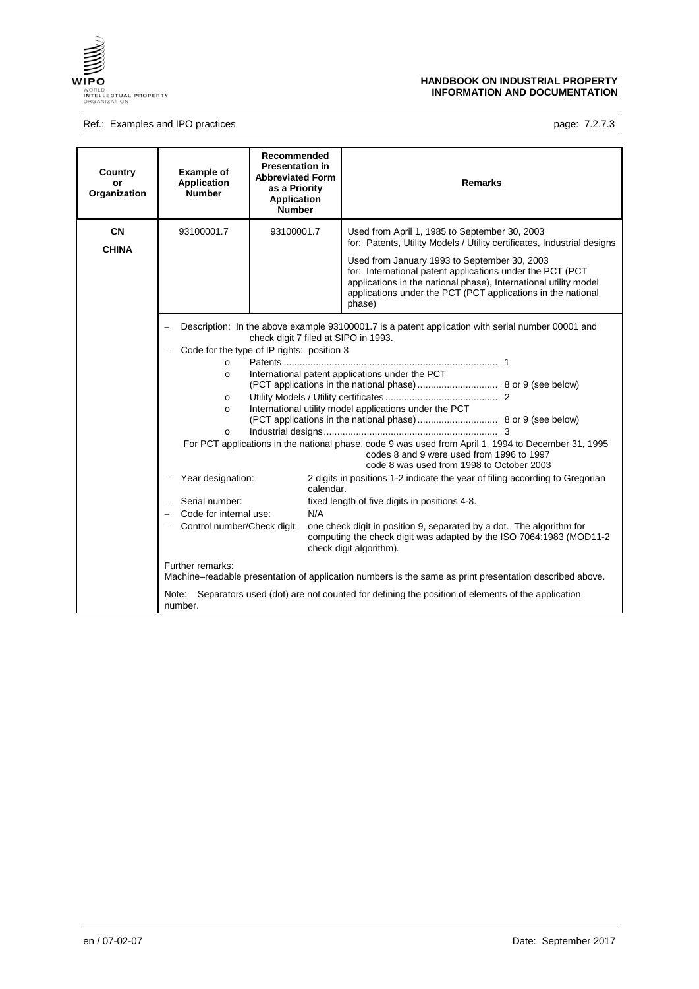

## Ref.: Examples and IPO practices **page: 7.2.7.3** page: 7.2.7.3

| Country<br>or<br>Organization | <b>Example of</b><br><b>Application</b><br><b>Number</b>                                                                                                                       | Recommended<br><b>Presentation in</b><br><b>Abbreviated Form</b><br>as a Priority<br><b>Application</b><br><b>Number</b> | <b>Remarks</b>                                                                                                                                                                                                                                                                                                                                                                                                                                                                                                       |
|-------------------------------|--------------------------------------------------------------------------------------------------------------------------------------------------------------------------------|--------------------------------------------------------------------------------------------------------------------------|----------------------------------------------------------------------------------------------------------------------------------------------------------------------------------------------------------------------------------------------------------------------------------------------------------------------------------------------------------------------------------------------------------------------------------------------------------------------------------------------------------------------|
| <b>CN</b><br><b>CHINA</b>     | 93100001.7                                                                                                                                                                     | 93100001.7                                                                                                               | Used from April 1, 1985 to September 30, 2003<br>for: Patents, Utility Models / Utility certificates, Industrial designs<br>Used from January 1993 to September 30, 2003<br>for: International patent applications under the PCT (PCT<br>applications in the national phase), International utility model<br>applications under the PCT (PCT applications in the national<br>phase)                                                                                                                                  |
|                               | $\circ$<br>$\circ$<br>$\circ$<br>$\circ$<br>$\circ$                                                                                                                            | check digit 7 filed at SIPO in 1993.<br>Code for the type of IP rights: position 3                                       | Description: In the above example 93100001.7 is a patent application with serial number 00001 and<br>International patent applications under the PCT<br>International utility model applications under the PCT<br>For PCT applications in the national phase, code 9 was used from April 1, 1994 to December 31, 1995<br>codes 8 and 9 were used from 1996 to 1997<br>code 8 was used from 1998 to October 2003                                                                                                      |
|                               | Year designation:<br>Serial number:<br>$\qquad \qquad -$<br>Code for internal use:<br>Control number/Check digit:<br>$\qquad \qquad -$<br>Further remarks:<br>Note:<br>number. | calendar.<br>N/A                                                                                                         | 2 digits in positions 1-2 indicate the year of filing according to Gregorian<br>fixed length of five digits in positions 4-8.<br>one check digit in position 9, separated by a dot. The algorithm for<br>computing the check digit was adapted by the ISO 7064:1983 (MOD11-2<br>check digit algorithm).<br>Machine–readable presentation of application numbers is the same as print presentation described above.<br>Separators used (dot) are not counted for defining the position of elements of the application |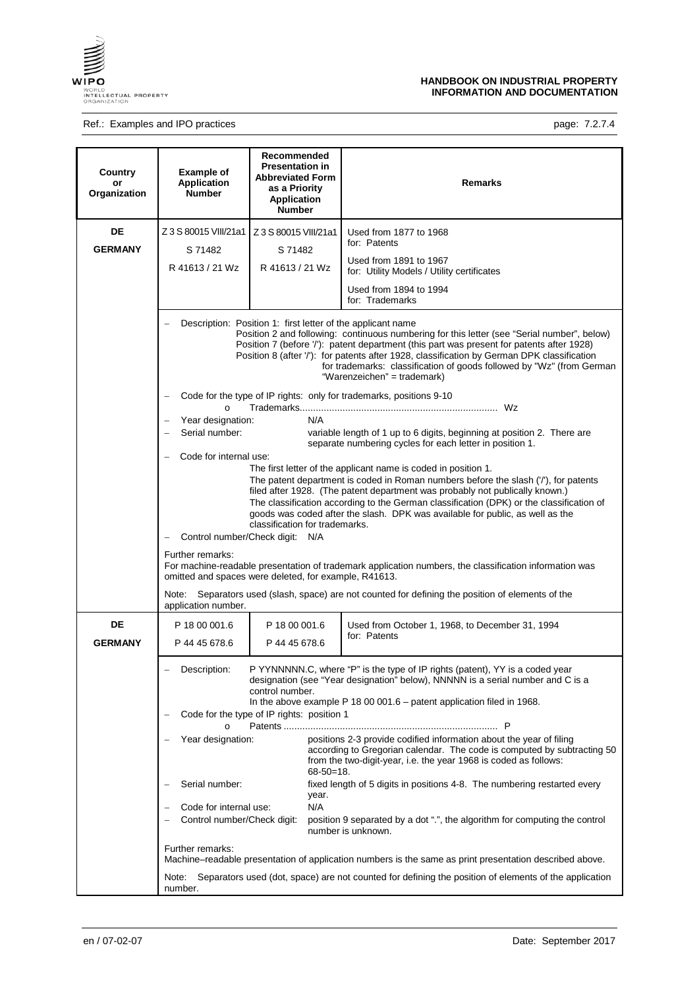

## Ref.: Examples and IPO practices **page: 7.2.7.4**

| Country<br>or<br>Organization | <b>Example of</b><br><b>Application</b><br><b>Number</b>                                                                                                                                                                                                                                                                              | Recommended<br><b>Presentation in</b><br><b>Abbreviated Form</b><br>as a Priority<br><b>Application</b><br><b>Number</b>   | Remarks                                                                                                                                                                                                                                                                                                                                                                                                                                                                                                                                                                                                                     |  |
|-------------------------------|---------------------------------------------------------------------------------------------------------------------------------------------------------------------------------------------------------------------------------------------------------------------------------------------------------------------------------------|----------------------------------------------------------------------------------------------------------------------------|-----------------------------------------------------------------------------------------------------------------------------------------------------------------------------------------------------------------------------------------------------------------------------------------------------------------------------------------------------------------------------------------------------------------------------------------------------------------------------------------------------------------------------------------------------------------------------------------------------------------------------|--|
| DE<br><b>GERMANY</b>          | Z 3 S 80015 VIII/21a1<br>S 71482                                                                                                                                                                                                                                                                                                      | Z 3 S 80015 VIII/21a1<br>S 71482                                                                                           | Used from 1877 to 1968<br>for: Patents                                                                                                                                                                                                                                                                                                                                                                                                                                                                                                                                                                                      |  |
|                               | R 41613 / 21 Wz                                                                                                                                                                                                                                                                                                                       | R 41613 / 21 Wz                                                                                                            | Used from 1891 to 1967<br>for: Utility Models / Utility certificates<br>Used from 1894 to 1994<br>for: Trademarks                                                                                                                                                                                                                                                                                                                                                                                                                                                                                                           |  |
|                               | $\Omega$<br>Year designation:<br>Serial number:                                                                                                                                                                                                                                                                                       | Description: Position 1: first letter of the applicant name<br>N/A                                                         | Position 2 and following: continuous numbering for this letter (see "Serial number", below)<br>Position 7 (before '/'): patent department (this part was present for patents after 1928)<br>Position 8 (after '/'): for patents after 1928, classification by German DPK classification<br>for trademarks: classification of goods followed by "Wz" (from German<br>"Warenzeichen" = trademark)<br>Code for the type of IP rights: only for trademarks, positions 9-10<br>variable length of 1 up to 6 digits, beginning at position 2. There are<br>separate numbering cycles for each letter in position 1.               |  |
|                               | Code for internal use:<br>Further remarks:<br>Note:<br>application number.                                                                                                                                                                                                                                                            | classification for trademarks.<br>Control number/Check digit: N/A<br>omitted and spaces were deleted, for example, R41613. | The first letter of the applicant name is coded in position 1.<br>The patent department is coded in Roman numbers before the slash ('/'), for patents<br>filed after 1928. (The patent department was probably not publically known.)<br>The classification according to the German classification (DPK) or the classification of<br>goods was coded after the slash. DPK was available for public, as well as the<br>For machine-readable presentation of trademark application numbers, the classification information was<br>Separators used (slash, space) are not counted for defining the position of elements of the |  |
| DE<br><b>GERMANY</b>          | P 18 00 001.6<br>P 44 45 678.6                                                                                                                                                                                                                                                                                                        | P 18 00 001.6<br>P 44 45 678.6                                                                                             | Used from October 1, 1968, to December 31, 1994<br>for: Patents                                                                                                                                                                                                                                                                                                                                                                                                                                                                                                                                                             |  |
|                               | P YYNNNNN.C, where "P" is the type of IP rights (patent), YY is a coded year<br>Description:<br>designation (see "Year designation" below), NNNNN is a serial number and C is a<br>control number.<br>In the above example P 18 00 001.6 - patent application filed in 1968.<br>Code for the type of IP rights: position 1<br>$\circ$ |                                                                                                                            |                                                                                                                                                                                                                                                                                                                                                                                                                                                                                                                                                                                                                             |  |
|                               | Year designation:                                                                                                                                                                                                                                                                                                                     | $68 - 50 = 18$ .                                                                                                           | positions 2-3 provide codified information about the year of filing<br>according to Gregorian calendar. The code is computed by subtracting 50<br>from the two-digit-year, i.e. the year 1968 is coded as follows:                                                                                                                                                                                                                                                                                                                                                                                                          |  |
|                               | Serial number:<br>Code for internal use:<br>Control number/Check digit:                                                                                                                                                                                                                                                               | year.<br>N/A                                                                                                               | fixed length of 5 digits in positions 4-8. The numbering restarted every<br>position 9 separated by a dot ".", the algorithm for computing the control<br>number is unknown.                                                                                                                                                                                                                                                                                                                                                                                                                                                |  |
|                               | Further remarks:<br>Machine–readable presentation of application numbers is the same as print presentation described above.<br>Separators used (dot, space) are not counted for defining the position of elements of the application<br>Note:                                                                                         |                                                                                                                            |                                                                                                                                                                                                                                                                                                                                                                                                                                                                                                                                                                                                                             |  |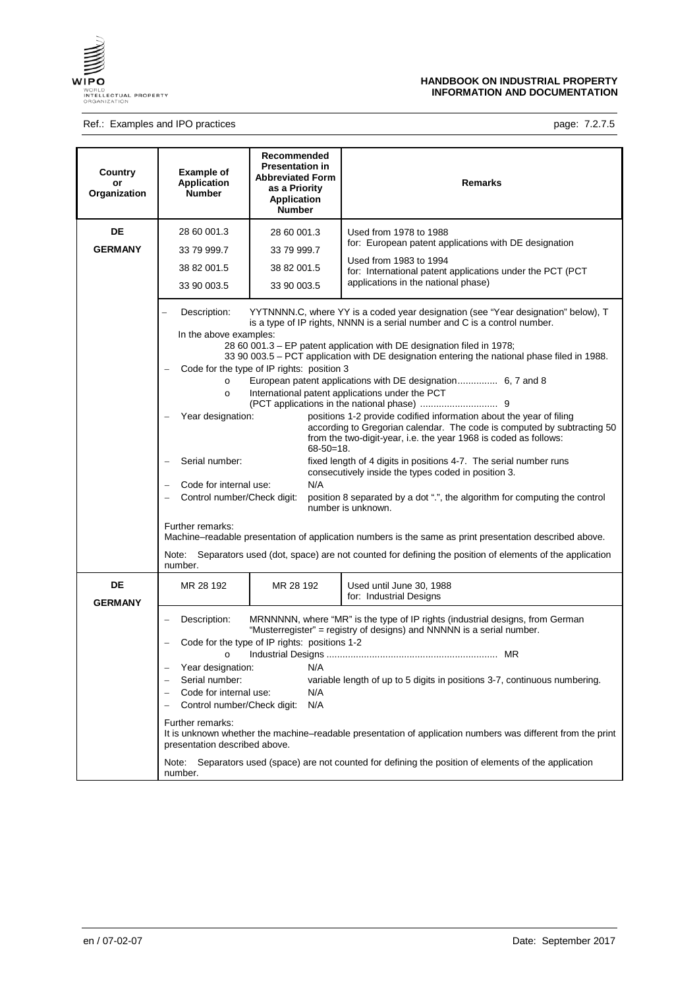

## Ref.: Examples and IPO practices **page: 7.2.7.5** page: 7.2.7.5

| Country<br>or<br>Organization | <b>Example of</b><br><b>Application</b><br><b>Number</b>                                                                                                                                                                                                                                                                           | Recommended<br><b>Presentation in</b><br><b>Abbreviated Form</b><br>as a Priority<br><b>Application</b><br><b>Number</b> | Remarks                                                                                                                                                                                                                                                                                                                                                                                                                                                                                                                                                                                                                                                                                                                                                                                                                                                                                                                                                                                                                                                      |
|-------------------------------|------------------------------------------------------------------------------------------------------------------------------------------------------------------------------------------------------------------------------------------------------------------------------------------------------------------------------------|--------------------------------------------------------------------------------------------------------------------------|--------------------------------------------------------------------------------------------------------------------------------------------------------------------------------------------------------------------------------------------------------------------------------------------------------------------------------------------------------------------------------------------------------------------------------------------------------------------------------------------------------------------------------------------------------------------------------------------------------------------------------------------------------------------------------------------------------------------------------------------------------------------------------------------------------------------------------------------------------------------------------------------------------------------------------------------------------------------------------------------------------------------------------------------------------------|
| DE<br><b>GERMANY</b>          | 28 60 001.3<br>28 60 001.3<br>33 79 999.7<br>33 79 999.7<br>38 82 001.5<br>38 82 001.5<br>33 90 003.5<br>33 90 003.5                                                                                                                                                                                                               |                                                                                                                          | Used from 1978 to 1988<br>for: European patent applications with DE designation<br>Used from 1983 to 1994<br>for: International patent applications under the PCT (PCT<br>applications in the national phase)                                                                                                                                                                                                                                                                                                                                                                                                                                                                                                                                                                                                                                                                                                                                                                                                                                                |
|                               | Description:<br>In the above examples:<br>Code for the type of IP rights: position 3<br>$\circ$<br>International patent applications under the PCT<br>$\circ$<br>Year designation:<br>$68 - 50 = 18$ .<br>Serial number:<br>N/A<br>Code for internal use:<br>Control number/Check digit:<br>number is unknown.<br>Further remarks: |                                                                                                                          | YYTNNNN.C, where YY is a coded year designation (see "Year designation" below), T<br>is a type of IP rights, NNNN is a serial number and C is a control number.<br>28 60 001.3 – EP patent application with DE designation filed in 1978;<br>33 90 003.5 - PCT application with DE designation entering the national phase filed in 1988.<br>European patent applications with DE designation 6, 7 and 8<br>positions 1-2 provide codified information about the year of filing<br>according to Gregorian calendar. The code is computed by subtracting 50<br>from the two-digit-year, i.e. the year 1968 is coded as follows:<br>fixed length of 4 digits in positions 4-7. The serial number runs<br>consecutively inside the types coded in position 3.<br>position 8 separated by a dot ".", the algorithm for computing the control<br>Machine–readable presentation of application numbers is the same as print presentation described above.<br>Separators used (dot, space) are not counted for defining the position of elements of the application |
| DE                            | Note:<br>number.<br>MR 28 192                                                                                                                                                                                                                                                                                                      | MR 28 192                                                                                                                | Used until June 30, 1988<br>for: Industrial Designs                                                                                                                                                                                                                                                                                                                                                                                                                                                                                                                                                                                                                                                                                                                                                                                                                                                                                                                                                                                                          |
| <b>GERMANY</b>                | Description:<br>$\circ$<br>Year designation:<br>Serial number:<br>Code for internal use:<br>Control number/Check digit:<br>Further remarks:<br>presentation described above.<br>Note:<br>number.                                                                                                                                   | Code for the type of IP rights: positions 1-2<br>N/A<br>N/A<br>N/A                                                       | MRNNNNN, where "MR" is the type of IP rights (industrial designs, from German<br>"Musterregister" = registry of designs) and NNNNN is a serial number.<br>variable length of up to 5 digits in positions 3-7, continuous numbering.<br>It is unknown whether the machine-readable presentation of application numbers was different from the print<br>Separators used (space) are not counted for defining the position of elements of the application                                                                                                                                                                                                                                                                                                                                                                                                                                                                                                                                                                                                       |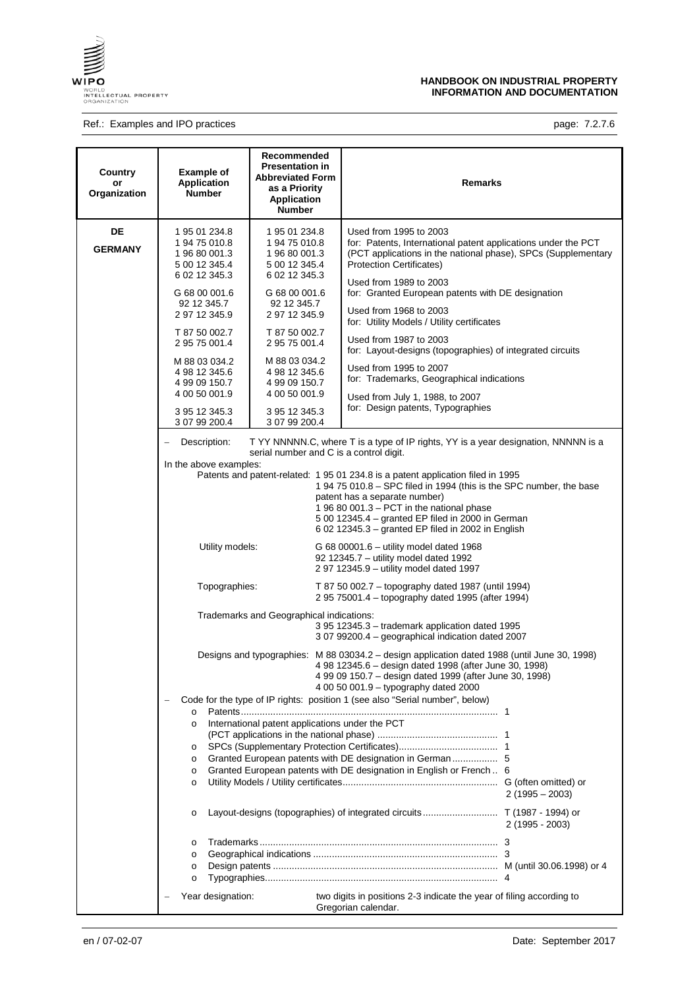

## Ref.: Examples and IPO practices **page: 7.2.7.6** page: 7.2.7.6

| Country<br>or<br>Organization | <b>Example of</b><br><b>Application</b><br><b>Number</b>                                                                                                                                                                                                                                                                                                 | Recommended<br><b>Presentation in</b><br><b>Abbreviated Form</b><br>as a Priority<br><b>Application</b><br><b>Number</b>                                                                                                                                                                                                                                          | <b>Remarks</b>                                                                                                                                                                                                                                                                                                                                                                                                                                                                                                                                                                                                                                                                                                                                                                                                                                                                                                                                                                                                                                                                                                                                                                                                                                                                                                                                                                                                                                                                                                                                                                                           |
|-------------------------------|----------------------------------------------------------------------------------------------------------------------------------------------------------------------------------------------------------------------------------------------------------------------------------------------------------------------------------------------------------|-------------------------------------------------------------------------------------------------------------------------------------------------------------------------------------------------------------------------------------------------------------------------------------------------------------------------------------------------------------------|----------------------------------------------------------------------------------------------------------------------------------------------------------------------------------------------------------------------------------------------------------------------------------------------------------------------------------------------------------------------------------------------------------------------------------------------------------------------------------------------------------------------------------------------------------------------------------------------------------------------------------------------------------------------------------------------------------------------------------------------------------------------------------------------------------------------------------------------------------------------------------------------------------------------------------------------------------------------------------------------------------------------------------------------------------------------------------------------------------------------------------------------------------------------------------------------------------------------------------------------------------------------------------------------------------------------------------------------------------------------------------------------------------------------------------------------------------------------------------------------------------------------------------------------------------------------------------------------------------|
| DE<br><b>GERMANY</b>          | 1 95 01 234.8<br>1 94 75 010.8<br>1 96 80 001.3<br>5 00 12 345.4<br>6 02 12 345.3<br>G 68 00 001.6<br>92 12 345.7<br>2 97 12 345.9<br>T 87 50 002.7<br>2 95 75 001.4<br>M 88 03 034.2<br>4 98 12 345.6<br>4 99 09 150.7<br>4 00 50 001.9<br>3 95 12 345.3<br>3 07 99 200.4<br>Description:<br>In the above examples:<br>Utility models:<br>Topographies: | 1 95 01 234.8<br>1 94 75 010.8<br>1 96 80 001.3<br>5 00 12 345.4<br>6 02 12 345.3<br>G 68 00 001.6<br>92 12 345.7<br>2 97 12 345.9<br>T 87 50 002.7<br>2 95 75 001.4<br>M 88 03 034.2<br>4 98 12 345.6<br>4 99 09 150.7<br>4 00 50 001.9<br>3 95 12 345.3<br>3 07 99 200.4<br>serial number and C is a control digit.<br>Trademarks and Geographical indications: | Used from 1995 to 2003<br>for: Patents, International patent applications under the PCT<br>(PCT applications in the national phase), SPCs (Supplementary<br><b>Protection Certificates)</b><br>Used from 1989 to 2003<br>for: Granted European patents with DE designation<br>Used from 1968 to 2003<br>for: Utility Models / Utility certificates<br>Used from 1987 to 2003<br>for: Layout-designs (topographies) of integrated circuits<br>Used from 1995 to 2007<br>for: Trademarks, Geographical indications<br>Used from July 1, 1988, to 2007<br>for: Design patents, Typographies<br>T YY NNNNN.C, where T is a type of IP rights, YY is a year designation, NNNNN is a<br>Patents and patent-related: 1 95 01 234.8 is a patent application filed in 1995<br>1 94 75 010.8 - SPC filed in 1994 (this is the SPC number, the base<br>patent has a separate number)<br>1 96 80 001.3 - PCT in the national phase<br>5 00 12345.4 - granted EP filed in 2000 in German<br>6 02 12345.3 - granted EP filed in 2002 in English<br>G 68 00001.6 - utility model dated 1968<br>92 12345.7 - utility model dated 1992<br>2 97 12345.9 - utility model dated 1997<br>T 87 50 002.7 – topography dated 1987 (until 1994)<br>2 95 75001.4 - topography dated 1995 (after 1994)<br>3 95 12345.3 - trademark application dated 1995<br>3 07 99200.4 - geographical indication dated 2007<br>Designs and typographies: M 88 03034.2 – design application dated 1988 (until June 30, 1998)<br>4 98 12345.6 - design dated 1998 (after June 30, 1998)<br>4 99 09 150.7 - design dated 1999 (after June 30, 1998) |
|                               | Code for the type of IP rights: position 1 (see also "Serial number", below)<br>$\circ$<br>International patent applications under the PCT<br>$\circ$<br>$\circ$<br>Granted European patents with DE designation in German  5<br>$\circ$<br>Granted European patents with DE designation in English or French 6<br>$\circ$<br>$\circ$                    |                                                                                                                                                                                                                                                                                                                                                                   | 4 00 50 001.9 - typography dated 2000<br>$2(1995 - 2003)$                                                                                                                                                                                                                                                                                                                                                                                                                                                                                                                                                                                                                                                                                                                                                                                                                                                                                                                                                                                                                                                                                                                                                                                                                                                                                                                                                                                                                                                                                                                                                |
|                               | $\circ$<br>$\circ$<br>$\circ$<br>$\circ$<br>$\circ$<br>Year designation:                                                                                                                                                                                                                                                                                 |                                                                                                                                                                                                                                                                                                                                                                   | $2(1995 - 2003)$<br>two digits in positions 2-3 indicate the year of filing according to                                                                                                                                                                                                                                                                                                                                                                                                                                                                                                                                                                                                                                                                                                                                                                                                                                                                                                                                                                                                                                                                                                                                                                                                                                                                                                                                                                                                                                                                                                                 |
|                               |                                                                                                                                                                                                                                                                                                                                                          |                                                                                                                                                                                                                                                                                                                                                                   | Gregorian calendar.                                                                                                                                                                                                                                                                                                                                                                                                                                                                                                                                                                                                                                                                                                                                                                                                                                                                                                                                                                                                                                                                                                                                                                                                                                                                                                                                                                                                                                                                                                                                                                                      |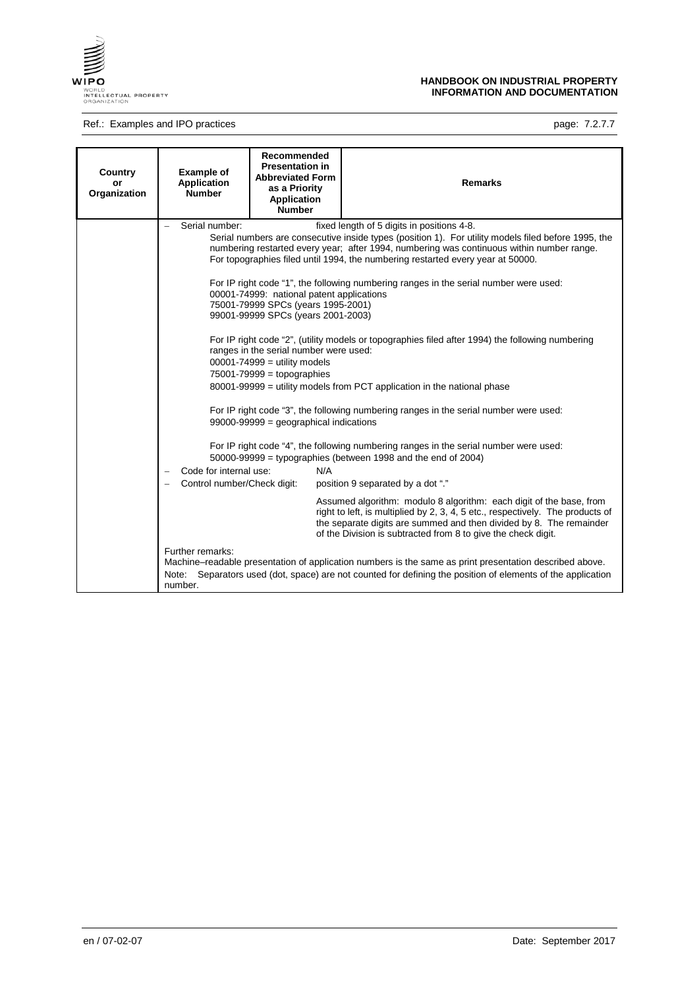

## Ref.: Examples and IPO practices **page: 7.2.7.7**

| Country<br>or<br>Organization | <b>Example of</b><br><b>Application</b><br><b>Number</b>                                    | <b>Recommended</b><br><b>Presentation in</b><br><b>Abbreviated Form</b><br>as a Priority<br>Application<br><b>Number</b>                                                                                                                                                                   | <b>Remarks</b>                                                                                                                                                                                                                                                                                                                                                                                                                                                                                                                                                                                                                                                                                                                                                                                                                                                                                                                                                                                                                                                                                                                                                                                                                                                                                                                                                                                                                   |
|-------------------------------|---------------------------------------------------------------------------------------------|--------------------------------------------------------------------------------------------------------------------------------------------------------------------------------------------------------------------------------------------------------------------------------------------|----------------------------------------------------------------------------------------------------------------------------------------------------------------------------------------------------------------------------------------------------------------------------------------------------------------------------------------------------------------------------------------------------------------------------------------------------------------------------------------------------------------------------------------------------------------------------------------------------------------------------------------------------------------------------------------------------------------------------------------------------------------------------------------------------------------------------------------------------------------------------------------------------------------------------------------------------------------------------------------------------------------------------------------------------------------------------------------------------------------------------------------------------------------------------------------------------------------------------------------------------------------------------------------------------------------------------------------------------------------------------------------------------------------------------------|
|                               | Serial number:<br>Code for internal use:<br>Control number/Check digit:<br>Further remarks: | 00001-74999: national patent applications<br>75001-79999 SPCs (years 1995-2001)<br>99001-99999 SPCs (years 2001-2003)<br>ranges in the serial number were used:<br>$00001 - 74999 =$ utility models<br>$75001 - 79999 =$ topographies<br>$99000 - 99999 =$ geographical indications<br>N/A | fixed length of 5 digits in positions 4-8.<br>Serial numbers are consecutive inside types (position 1). For utility models filed before 1995, the<br>numbering restarted every year; after 1994, numbering was continuous within number range.<br>For topographies filed until 1994, the numbering restarted every year at 50000.<br>For IP right code "1", the following numbering ranges in the serial number were used:<br>For IP right code "2", (utility models or topographies filed after 1994) the following numbering<br>80001-99999 = utility models from PCT application in the national phase<br>For IP right code "3", the following numbering ranges in the serial number were used:<br>For IP right code "4", the following numbering ranges in the serial number were used:<br>$50000 - 99999 =$ typographies (between 1998 and the end of 2004)<br>position 9 separated by a dot "."<br>Assumed algorithm: modulo 8 algorithm: each digit of the base, from<br>right to left, is multiplied by 2, 3, 4, 5 etc., respectively. The products of<br>the separate digits are summed and then divided by 8. The remainder<br>of the Division is subtracted from 8 to give the check digit.<br>Machine-readable presentation of application numbers is the same as print presentation described above.<br>Note: Separators used (dot, space) are not counted for defining the position of elements of the application |
|                               | number.                                                                                     |                                                                                                                                                                                                                                                                                            |                                                                                                                                                                                                                                                                                                                                                                                                                                                                                                                                                                                                                                                                                                                                                                                                                                                                                                                                                                                                                                                                                                                                                                                                                                                                                                                                                                                                                                  |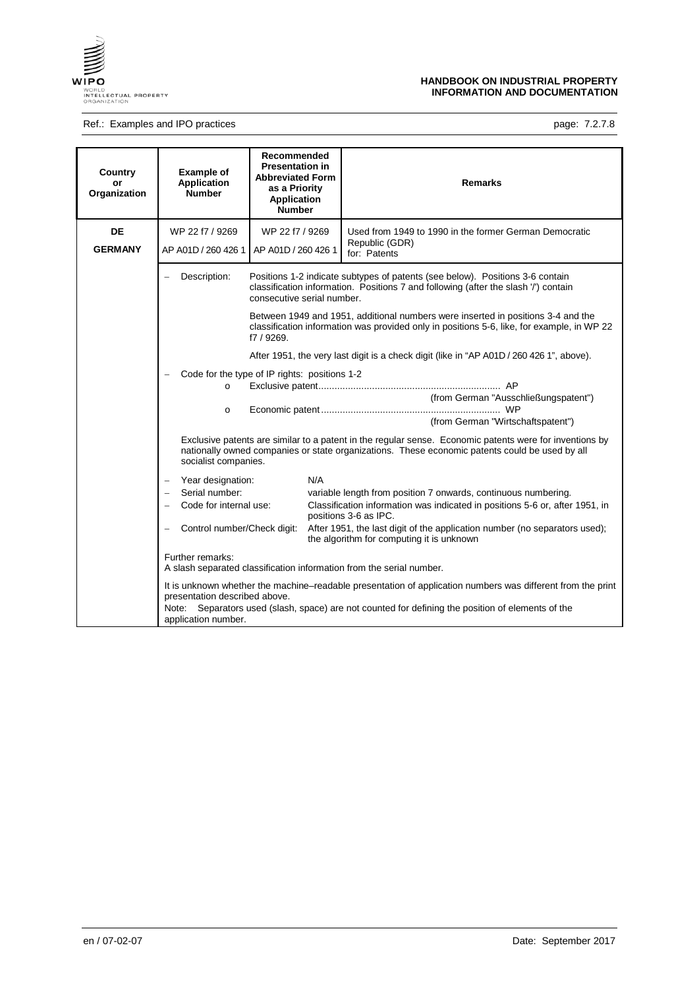

## Ref.: Examples and IPO practices **page: 7.2.7.8** page: 7.2.7.8

| Country<br>or<br>Organization | <b>Example of</b><br><b>Application</b><br><b>Number</b>                                                                                                                                                                          | Recommended<br><b>Presentation in</b><br><b>Abbreviated Form</b><br>as a Priority<br><b>Application</b><br><b>Number</b> | <b>Remarks</b>                                                                                                                                                                                                   |  |
|-------------------------------|-----------------------------------------------------------------------------------------------------------------------------------------------------------------------------------------------------------------------------------|--------------------------------------------------------------------------------------------------------------------------|------------------------------------------------------------------------------------------------------------------------------------------------------------------------------------------------------------------|--|
| <b>DE</b>                     | WP 22 f7 / 9269                                                                                                                                                                                                                   | WP 22 f7 / 9269                                                                                                          | Used from 1949 to 1990 in the former German Democratic                                                                                                                                                           |  |
| <b>GERMANY</b>                | AP A01D / 260 426 1                                                                                                                                                                                                               | AP A01D / 260 426 1                                                                                                      | Republic (GDR)<br>for: Patents                                                                                                                                                                                   |  |
|                               | Description:                                                                                                                                                                                                                      | consecutive serial number.                                                                                               | Positions 1-2 indicate subtypes of patents (see below). Positions 3-6 contain<br>classification information. Positions 7 and following (after the slash '/') contain                                             |  |
|                               | Between 1949 and 1951, additional numbers were inserted in positions 3-4 and the<br>classification information was provided only in positions 5-6, like, for example, in WP 22<br>f7 / 9269.                                      |                                                                                                                          |                                                                                                                                                                                                                  |  |
|                               |                                                                                                                                                                                                                                   | After 1951, the very last digit is a check digit (like in "AP A01D / 260 426 1", above).                                 |                                                                                                                                                                                                                  |  |
|                               | $\circ$<br>$\circ$                                                                                                                                                                                                                | Code for the type of IP rights: positions 1-2                                                                            | (from German "Ausschließungspatent")<br>(from German "Wirtschaftspatent")                                                                                                                                        |  |
|                               | Exclusive patents are similar to a patent in the regular sense. Economic patents were for inventions by<br>nationally owned companies or state organizations. These economic patents could be used by all<br>socialist companies. |                                                                                                                          |                                                                                                                                                                                                                  |  |
|                               | Year designation:<br>$\overline{\phantom{0}}$                                                                                                                                                                                     | N/A                                                                                                                      |                                                                                                                                                                                                                  |  |
|                               | Serial number:                                                                                                                                                                                                                    |                                                                                                                          | variable length from position 7 onwards, continuous numbering.                                                                                                                                                   |  |
|                               | Code for internal use:                                                                                                                                                                                                            |                                                                                                                          | Classification information was indicated in positions 5-6 or, after 1951, in<br>positions 3-6 as IPC.                                                                                                            |  |
|                               | Control number/Check digit:                                                                                                                                                                                                       |                                                                                                                          | After 1951, the last digit of the application number (no separators used);<br>the algorithm for computing it is unknown                                                                                          |  |
|                               | Further remarks:                                                                                                                                                                                                                  | A slash separated classification information from the serial number.                                                     |                                                                                                                                                                                                                  |  |
|                               | presentation described above.<br>application number.                                                                                                                                                                              |                                                                                                                          | It is unknown whether the machine-readable presentation of application numbers was different from the print<br>Note: Separators used (slash, space) are not counted for defining the position of elements of the |  |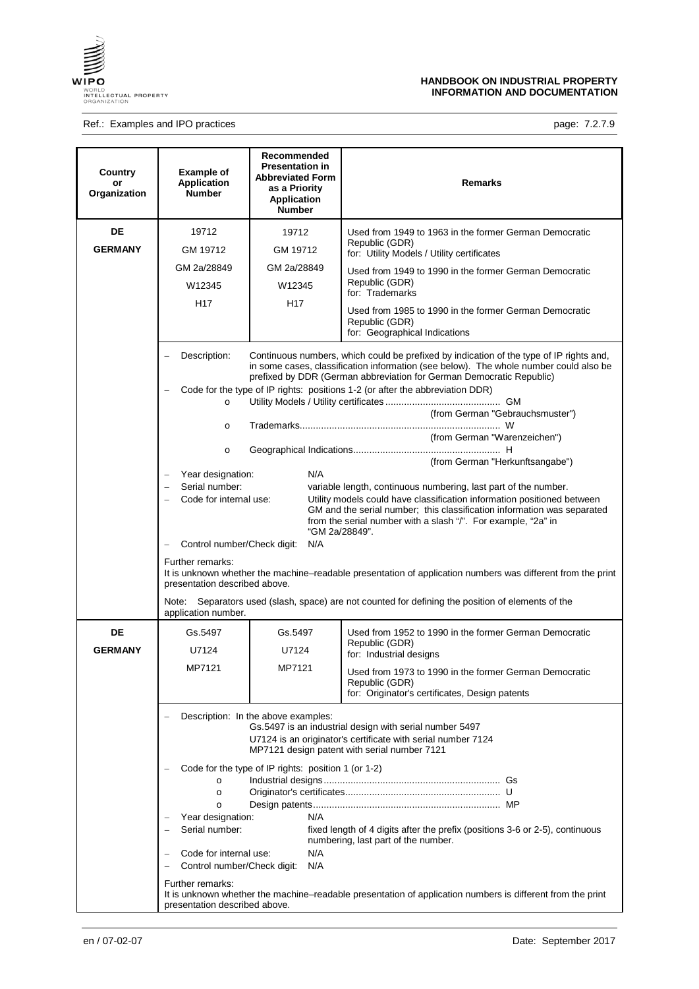

## Ref.: Examples and IPO practices **page: 7.2.7.9** page: 7.2.7.9

| Country<br>or<br>Organization | <b>Example of</b><br><b>Application</b><br><b>Number</b>                                                                                                                                                       | Recommended<br><b>Presentation in</b><br><b>Abbreviated Form</b><br>as a Priority<br><b>Application</b><br><b>Number</b> | <b>Remarks</b>                                                                                                                                                                                                                                                                                                            |  |
|-------------------------------|----------------------------------------------------------------------------------------------------------------------------------------------------------------------------------------------------------------|--------------------------------------------------------------------------------------------------------------------------|---------------------------------------------------------------------------------------------------------------------------------------------------------------------------------------------------------------------------------------------------------------------------------------------------------------------------|--|
| DE<br><b>GERMANY</b>          | 19712<br>GM 19712                                                                                                                                                                                              | 19712<br>GM 19712                                                                                                        | Used from 1949 to 1963 in the former German Democratic<br>Republic (GDR)<br>for: Utility Models / Utility certificates                                                                                                                                                                                                    |  |
|                               | GM 2a/28849<br>W12345                                                                                                                                                                                          | GM 2a/28849<br>W12345                                                                                                    | Used from 1949 to 1990 in the former German Democratic<br>Republic (GDR)<br>for: Trademarks                                                                                                                                                                                                                               |  |
|                               | H <sub>17</sub>                                                                                                                                                                                                | H <sub>17</sub>                                                                                                          | Used from 1985 to 1990 in the former German Democratic<br>Republic (GDR)<br>for: Geographical Indications                                                                                                                                                                                                                 |  |
|                               | Description:                                                                                                                                                                                                   |                                                                                                                          | Continuous numbers, which could be prefixed by indication of the type of IP rights and,<br>in some cases, classification information (see below). The whole number could also be<br>prefixed by DDR (German abbreviation for German Democratic Republic)                                                                  |  |
|                               | Code for the type of IP rights: positions 1-2 (or after the abbreviation DDR)<br>$\circ$                                                                                                                       |                                                                                                                          |                                                                                                                                                                                                                                                                                                                           |  |
|                               | (from German "Gebrauchsmuster")<br>$\circ$<br>(from German "Warenzeichen")                                                                                                                                     |                                                                                                                          |                                                                                                                                                                                                                                                                                                                           |  |
|                               | $\circ$<br>Year designation:<br>Serial number:<br>Code for internal use:<br>Control number/Check digit:                                                                                                        | N/A<br>"GM 2a/28849".<br>N/A                                                                                             | (from German "Herkunftsangabe")<br>variable length, continuous numbering, last part of the number.<br>Utility models could have classification information positioned between<br>GM and the serial number; this classification information was separated<br>from the serial number with a slash "/". For example, "2a" in |  |
|                               | Further remarks:<br>presentation described above.<br>Note:<br>application number.                                                                                                                              |                                                                                                                          | It is unknown whether the machine-readable presentation of application numbers was different from the print<br>Separators used (slash, space) are not counted for defining the position of elements of the                                                                                                                |  |
| DE<br><b>GERMANY</b>          | Gs.5497<br>U7124                                                                                                                                                                                               | Gs.5497<br>U7124                                                                                                         | Used from 1952 to 1990 in the former German Democratic<br>Republic (GDR)<br>for: Industrial designs                                                                                                                                                                                                                       |  |
|                               | MP7121                                                                                                                                                                                                         | MP7121                                                                                                                   | Used from 1973 to 1990 in the former German Democratic<br>Republic (GDR)<br>for: Originator's certificates, Design patents                                                                                                                                                                                                |  |
|                               | Description: In the above examples:<br>Gs.5497 is an industrial design with serial number 5497<br>U7124 is an originator's certificate with serial number 7124<br>MP7121 design patent with serial number 7121 |                                                                                                                          |                                                                                                                                                                                                                                                                                                                           |  |
|                               | $\circ$<br>$\circ$<br>$\circ$                                                                                                                                                                                  | Code for the type of IP rights: position 1 (or 1-2)                                                                      |                                                                                                                                                                                                                                                                                                                           |  |
|                               | Year designation:<br>Serial number:<br>Code for internal use:<br>Control number/Check digit:                                                                                                                   | N/A<br>N/A<br>N/A                                                                                                        | fixed length of 4 digits after the prefix (positions 3-6 or 2-5), continuous<br>numbering, last part of the number.                                                                                                                                                                                                       |  |
|                               | Further remarks:<br>presentation described above.                                                                                                                                                              |                                                                                                                          | It is unknown whether the machine–readable presentation of application numbers is different from the print                                                                                                                                                                                                                |  |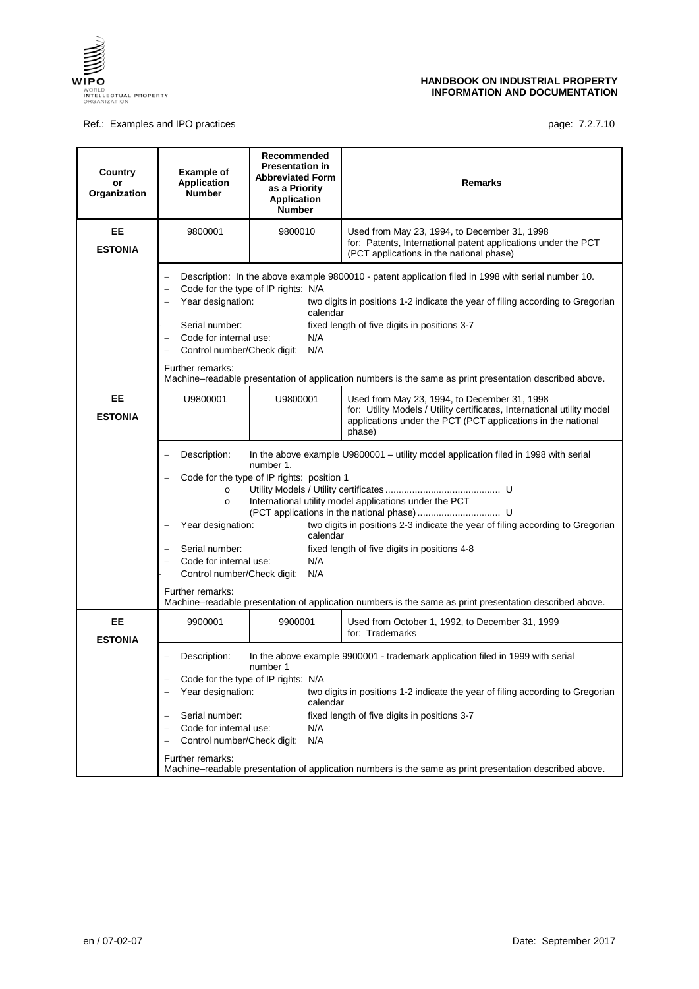

## Ref.: Examples and IPO practices examples and IPO practices page: 7.2.7.10

| Country<br>or<br>Organization | <b>Example of</b><br><b>Application</b><br><b>Number</b>                                                                                                                           | Recommended<br><b>Presentation in</b><br><b>Abbreviated Form</b><br>as a Priority<br><b>Application</b><br><b>Number</b> | Remarks                                                                                                                                                                                                                                                                                                                                                                                    |
|-------------------------------|------------------------------------------------------------------------------------------------------------------------------------------------------------------------------------|--------------------------------------------------------------------------------------------------------------------------|--------------------------------------------------------------------------------------------------------------------------------------------------------------------------------------------------------------------------------------------------------------------------------------------------------------------------------------------------------------------------------------------|
| EE<br><b>ESTONIA</b>          | 9800001                                                                                                                                                                            | 9800010                                                                                                                  | Used from May 23, 1994, to December 31, 1998<br>for: Patents, International patent applications under the PCT<br>(PCT applications in the national phase)                                                                                                                                                                                                                                  |
|                               | Year designation:<br>Serial number:<br>Code for internal use:<br>Control number/Check digit:<br>Further remarks:                                                                   | Code for the type of IP rights: N/A<br>calendar<br>N/A<br>N/A                                                            | Description: In the above example 9800010 - patent application filed in 1998 with serial number 10.<br>two digits in positions 1-2 indicate the year of filing according to Gregorian<br>fixed length of five digits in positions 3-7<br>Machine–readable presentation of application numbers is the same as print presentation described above.                                           |
| EE<br><b>ESTONIA</b>          | U9800001                                                                                                                                                                           | U9800001                                                                                                                 | Used from May 23, 1994, to December 31, 1998<br>for: Utility Models / Utility certificates, International utility model<br>applications under the PCT (PCT applications in the national<br>phase)                                                                                                                                                                                          |
|                               | Description:<br>$\circ$<br>$\circ$<br>Year designation:<br>$\overline{\phantom{0}}$<br>Serial number:<br>Code for internal use:<br>Control number/Check digit:<br>Further remarks: | number 1.<br>Code for the type of IP rights: position 1<br>calendar<br>N/A<br>N/A                                        | In the above example U9800001 – utility model application filed in 1998 with serial<br>International utility model applications under the PCT<br>two digits in positions 2-3 indicate the year of filing according to Gregorian<br>fixed length of five digits in positions 4-8<br>Machine–readable presentation of application numbers is the same as print presentation described above. |
| EE<br><b>ESTONIA</b>          | 9900001                                                                                                                                                                            | 9900001                                                                                                                  | Used from October 1, 1992, to December 31, 1999<br>for: Trademarks                                                                                                                                                                                                                                                                                                                         |
|                               | Description:<br>Year designation:<br>Serial number:<br>Code for internal use:<br>Control number/Check digit:<br>Further remarks:                                                   | number 1<br>Code for the type of IP rights: N/A<br>calendar<br>N/A<br>N/A                                                | In the above example 9900001 - trademark application filed in 1999 with serial<br>two digits in positions 1-2 indicate the year of filing according to Gregorian<br>fixed length of five digits in positions 3-7<br>Machine–readable presentation of application numbers is the same as print presentation described above.                                                                |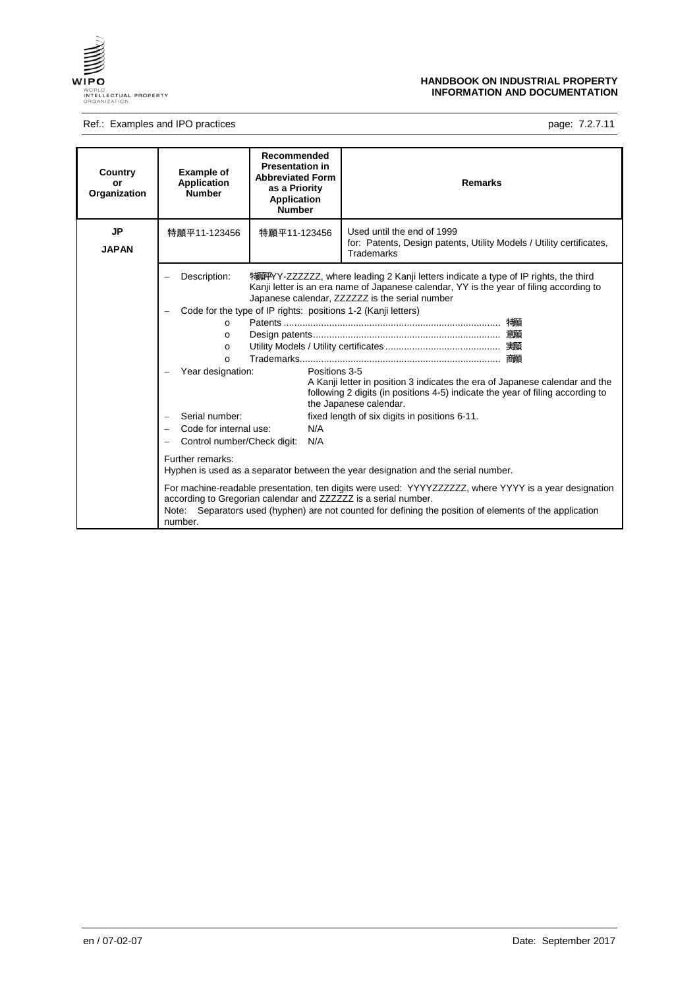

## Ref.: Examples and IPO practices examples and IPO practices page: 7.2.7.11

| Country<br>or<br>Organization | <b>Example of</b><br><b>Application</b><br><b>Number</b>                                                                                                                                                     | Recommended<br><b>Presentation in</b><br><b>Abbreviated Form</b><br>as a Priority<br>Application<br><b>Number</b> | <b>Remarks</b>                                                                                                                                                                                                                                                                                                                                                                                                                                                                                                                                                                                                                                                                                                                                |
|-------------------------------|--------------------------------------------------------------------------------------------------------------------------------------------------------------------------------------------------------------|-------------------------------------------------------------------------------------------------------------------|-----------------------------------------------------------------------------------------------------------------------------------------------------------------------------------------------------------------------------------------------------------------------------------------------------------------------------------------------------------------------------------------------------------------------------------------------------------------------------------------------------------------------------------------------------------------------------------------------------------------------------------------------------------------------------------------------------------------------------------------------|
| <b>JP</b><br><b>JAPAN</b>     | 特願平11-123456                                                                                                                                                                                                 | 特願平11-123456                                                                                                      | Used until the end of 1999<br>for: Patents, Design patents, Utility Models / Utility certificates,<br><b>Trademarks</b>                                                                                                                                                                                                                                                                                                                                                                                                                                                                                                                                                                                                                       |
|                               | Description:<br>$\Omega$<br>$\Omega$<br>$\Omega$<br>$\Omega$<br>Year designation:<br>Serial number:<br>$\overline{\phantom{0}}$<br>Code for internal use:<br>Control number/Check digit:<br>Further remarks: | Code for the type of IP rights: positions 1-2 (Kanji letters)<br>Positions 3-5<br>N/A<br>N/A                      | 特解PYY-ZZZZZZ, where leading 2 Kanji letters indicate a type of IP rights, the third<br>Kanji letter is an era name of Japanese calendar, YY is the year of filing according to<br>Japanese calendar, ZZZZZZ is the serial number<br>A Kanji letter in position 3 indicates the era of Japanese calendar and the<br>following 2 digits (in positions 4-5) indicate the year of filing according to<br>the Japanese calendar.<br>fixed length of six digits in positions 6-11.<br>Hyphen is used as a separator between the year designation and the serial number.<br>For machine-readable presentation, ten digits were used: YYYYZZZZZZ, where YYYY is a year designation<br>according to Gregorian calendar and ZZZZZZZ is a serial number. |
|                               | Note:<br>number.                                                                                                                                                                                             |                                                                                                                   | Separators used (hyphen) are not counted for defining the position of elements of the application                                                                                                                                                                                                                                                                                                                                                                                                                                                                                                                                                                                                                                             |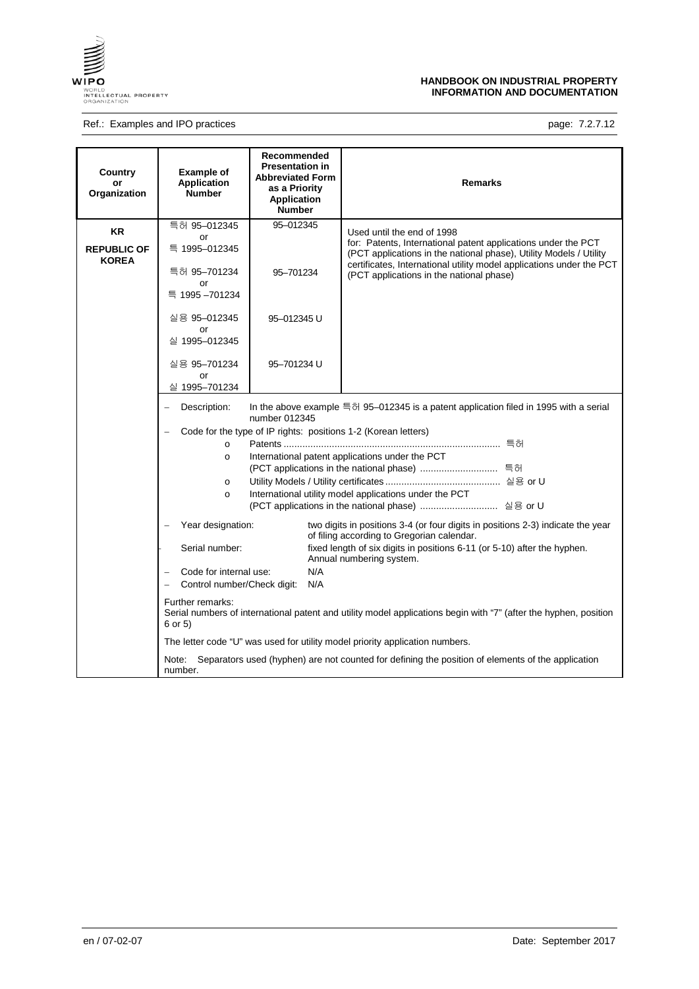

# Ref.: Examples and IPO practices **page: 7.2.7.12**

| Country<br>or<br>Organization      | <b>Example of</b><br><b>Application</b><br><b>Number</b>                                                               | Recommended<br><b>Presentation in</b><br><b>Abbreviated Form</b><br>as a Priority<br>Application<br><b>Number</b> | <b>Remarks</b>                                                                                                                                                                                              |  |
|------------------------------------|------------------------------------------------------------------------------------------------------------------------|-------------------------------------------------------------------------------------------------------------------|-------------------------------------------------------------------------------------------------------------------------------------------------------------------------------------------------------------|--|
| <b>KR</b>                          | 특허 95-012345                                                                                                           | 95-012345                                                                                                         | Used until the end of 1998                                                                                                                                                                                  |  |
| <b>REPUBLIC OF</b><br><b>KOREA</b> | or<br>특 1995-012345                                                                                                    |                                                                                                                   | for: Patents, International patent applications under the PCT<br>(PCT applications in the national phase), Utility Models / Utility<br>certificates, International utility model applications under the PCT |  |
|                                    | 특허 95-701234<br>or                                                                                                     | 95-701234                                                                                                         | (PCT applications in the national phase)                                                                                                                                                                    |  |
|                                    | 특 1995 - 701234                                                                                                        |                                                                                                                   |                                                                                                                                                                                                             |  |
|                                    | 실용 95-012345<br>or                                                                                                     | 95-012345 U                                                                                                       |                                                                                                                                                                                                             |  |
|                                    | 실 1995-012345                                                                                                          |                                                                                                                   |                                                                                                                                                                                                             |  |
|                                    | 실용 95-701234                                                                                                           | 95-701234 U                                                                                                       |                                                                                                                                                                                                             |  |
|                                    | or<br>실 1995-701234                                                                                                    |                                                                                                                   |                                                                                                                                                                                                             |  |
|                                    |                                                                                                                        |                                                                                                                   |                                                                                                                                                                                                             |  |
|                                    | Description:<br>In the above example 특허 95–012345 is a patent application filed in 1995 with a serial<br>number 012345 |                                                                                                                   |                                                                                                                                                                                                             |  |
|                                    | Code for the type of IP rights: positions 1-2 (Korean letters)                                                         |                                                                                                                   |                                                                                                                                                                                                             |  |
|                                    | $\circ$                                                                                                                |                                                                                                                   |                                                                                                                                                                                                             |  |
|                                    | International patent applications under the PCT<br>$\circ$                                                             |                                                                                                                   |                                                                                                                                                                                                             |  |
|                                    | $\circ$                                                                                                                |                                                                                                                   |                                                                                                                                                                                                             |  |
|                                    | $\circ$                                                                                                                |                                                                                                                   | International utility model applications under the PCT                                                                                                                                                      |  |
|                                    |                                                                                                                        |                                                                                                                   |                                                                                                                                                                                                             |  |
|                                    | Year designation:                                                                                                      |                                                                                                                   | two digits in positions 3-4 (or four digits in positions 2-3) indicate the year<br>of filing according to Gregorian calendar.                                                                               |  |
|                                    | Serial number:                                                                                                         |                                                                                                                   | fixed length of six digits in positions 6-11 (or 5-10) after the hyphen.<br>Annual numbering system.                                                                                                        |  |
|                                    | Code for internal use:<br>N/A<br>Control number/Check digit:                                                           |                                                                                                                   |                                                                                                                                                                                                             |  |
|                                    |                                                                                                                        | N/A                                                                                                               |                                                                                                                                                                                                             |  |
|                                    | Further remarks:<br>6 or 5)                                                                                            |                                                                                                                   | Serial numbers of international patent and utility model applications begin with "7" (after the hyphen, position                                                                                            |  |
|                                    |                                                                                                                        |                                                                                                                   | The letter code "U" was used for utility model priority application numbers.                                                                                                                                |  |
|                                    | Note:<br>number.                                                                                                       |                                                                                                                   | Separators used (hyphen) are not counted for defining the position of elements of the application                                                                                                           |  |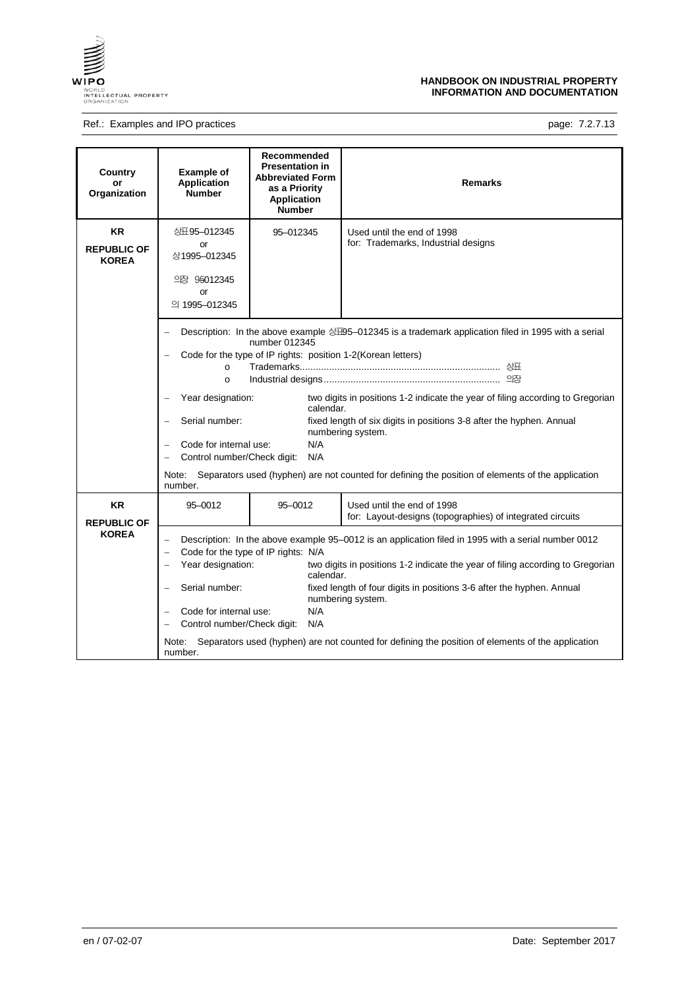

# Ref.: Examples and IPO practices **page: 7.2.7.13** page: 7.2.7.13

| Country<br>or<br>Organization                   | <b>Example of</b><br><b>Application</b><br><b>Number</b>                                                                                | Recommended<br><b>Presentation in</b><br><b>Abbreviated Form</b><br>as a Priority<br><b>Application</b><br><b>Number</b> | <b>Remarks</b>                                                                                                                                                                                                                                                                                                                                                                                                         |
|-------------------------------------------------|-----------------------------------------------------------------------------------------------------------------------------------------|--------------------------------------------------------------------------------------------------------------------------|------------------------------------------------------------------------------------------------------------------------------------------------------------------------------------------------------------------------------------------------------------------------------------------------------------------------------------------------------------------------------------------------------------------------|
| <b>KR</b><br><b>REPUBLIC OF</b><br><b>KOREA</b> | 公丑95-012345<br>or<br>상1995-012345<br>의장 95012345<br>or<br>의 1995-012345                                                                 | 95-012345                                                                                                                | Used until the end of 1998<br>for: Trademarks, Industrial designs                                                                                                                                                                                                                                                                                                                                                      |
|                                                 | $\Omega$<br>$\circ$<br>Year designation:<br>Serial number:<br>Code for internal use:<br>Control number/Check digit:<br>Note:<br>number. | number 012345<br>Code for the type of IP rights: position 1-2(Korean letters)<br>calendar.<br>N/A<br>N/A                 | Description: In the above example $\triangle \text{\textsterling}95-012345$ is a trademark application filed in 1995 with a serial<br>two digits in positions 1-2 indicate the year of filing according to Gregorian<br>fixed length of six digits in positions 3-8 after the hyphen. Annual<br>numbering system.<br>Separators used (hyphen) are not counted for defining the position of elements of the application |
| <b>KR</b><br><b>REPUBLIC OF</b>                 | 95-0012                                                                                                                                 | 95-0012                                                                                                                  | Used until the end of 1998<br>for: Layout-designs (topographies) of integrated circuits                                                                                                                                                                                                                                                                                                                                |
| <b>KOREA</b>                                    | Year designation:<br>$\equiv$<br>Serial number:<br>Code for internal use:<br>Control number/Check digit:<br>Note:<br>number.            | Code for the type of IP rights: N/A<br>calendar.<br>N/A<br>N/A                                                           | Description: In the above example 95-0012 is an application filed in 1995 with a serial number 0012<br>two digits in positions 1-2 indicate the year of filing according to Gregorian<br>fixed length of four digits in positions 3-6 after the hyphen. Annual<br>numbering system.<br>Separators used (hyphen) are not counted for defining the position of elements of the application                               |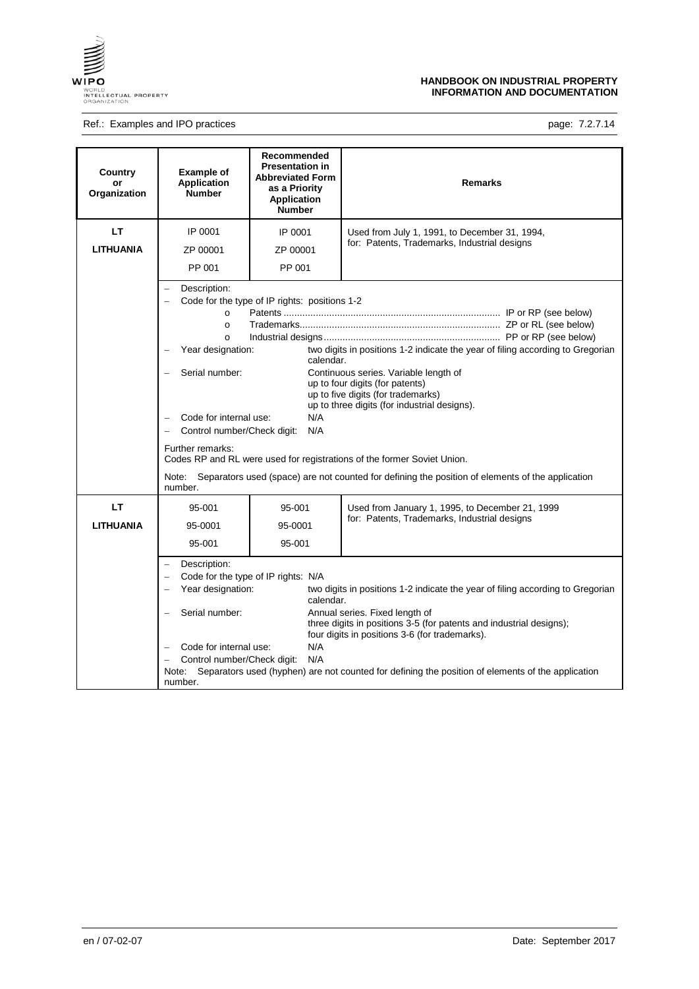

# Ref.: Examples and IPO practices examples and IPO practices page: 7.2.7.14

| Country<br>or<br>Organization | <b>Example of</b><br><b>Application</b><br><b>Number</b>                                                                                                                                                                                                                                                                                                                                                                                                                                                                                                                                                                                                                                                                         | Recommended<br><b>Presentation in</b><br><b>Abbreviated Form</b><br>as a Priority<br><b>Application</b><br><b>Number</b> | <b>Remarks</b>                                                                                                                                                                                                                                                                                                                                 |
|-------------------------------|----------------------------------------------------------------------------------------------------------------------------------------------------------------------------------------------------------------------------------------------------------------------------------------------------------------------------------------------------------------------------------------------------------------------------------------------------------------------------------------------------------------------------------------------------------------------------------------------------------------------------------------------------------------------------------------------------------------------------------|--------------------------------------------------------------------------------------------------------------------------|------------------------------------------------------------------------------------------------------------------------------------------------------------------------------------------------------------------------------------------------------------------------------------------------------------------------------------------------|
| LТ                            | IP 0001                                                                                                                                                                                                                                                                                                                                                                                                                                                                                                                                                                                                                                                                                                                          | IP 0001                                                                                                                  | Used from July 1, 1991, to December 31, 1994,                                                                                                                                                                                                                                                                                                  |
| <b>LITHUANIA</b>              | ZP 00001                                                                                                                                                                                                                                                                                                                                                                                                                                                                                                                                                                                                                                                                                                                         | ZP 00001                                                                                                                 | for: Patents, Trademarks, Industrial designs                                                                                                                                                                                                                                                                                                   |
|                               | PP 001                                                                                                                                                                                                                                                                                                                                                                                                                                                                                                                                                                                                                                                                                                                           | PP 001                                                                                                                   |                                                                                                                                                                                                                                                                                                                                                |
|                               | Description:<br>Code for the type of IP rights: positions 1-2<br>$\circ$<br>$\circ$<br>$\circ$<br>two digits in positions 1-2 indicate the year of filing according to Gregorian<br>Year designation:<br>$\overline{\phantom{0}}$<br>calendar.<br>Serial number:<br>Continuous series. Variable length of<br>up to four digits (for patents)<br>up to five digits (for trademarks)<br>up to three digits (for industrial designs).<br>Code for internal use:<br>N/A<br>Control number/Check digit:<br>N/A<br>Further remarks:<br>Codes RP and RL were used for registrations of the former Soviet Union.<br>Separators used (space) are not counted for defining the position of elements of the application<br>Note:<br>number. |                                                                                                                          |                                                                                                                                                                                                                                                                                                                                                |
| LT                            | 95-001                                                                                                                                                                                                                                                                                                                                                                                                                                                                                                                                                                                                                                                                                                                           | 95-001                                                                                                                   | Used from January 1, 1995, to December 21, 1999                                                                                                                                                                                                                                                                                                |
| <b>LITHUANIA</b>              | 95-0001                                                                                                                                                                                                                                                                                                                                                                                                                                                                                                                                                                                                                                                                                                                          | 95-0001                                                                                                                  | for: Patents, Trademarks, Industrial designs                                                                                                                                                                                                                                                                                                   |
|                               | 95-001                                                                                                                                                                                                                                                                                                                                                                                                                                                                                                                                                                                                                                                                                                                           | 95-001                                                                                                                   |                                                                                                                                                                                                                                                                                                                                                |
|                               | Description:<br>Year designation:<br>Serial number:<br>$\equiv$<br>Code for internal use:<br>Control number/Check digit:<br>Note:<br>number.                                                                                                                                                                                                                                                                                                                                                                                                                                                                                                                                                                                     | Code for the type of IP rights: N/A<br>calendar.<br>N/A<br>N/A                                                           | two digits in positions 1-2 indicate the year of filing according to Gregorian<br>Annual series. Fixed length of<br>three digits in positions 3-5 (for patents and industrial designs);<br>four digits in positions 3-6 (for trademarks).<br>Separators used (hyphen) are not counted for defining the position of elements of the application |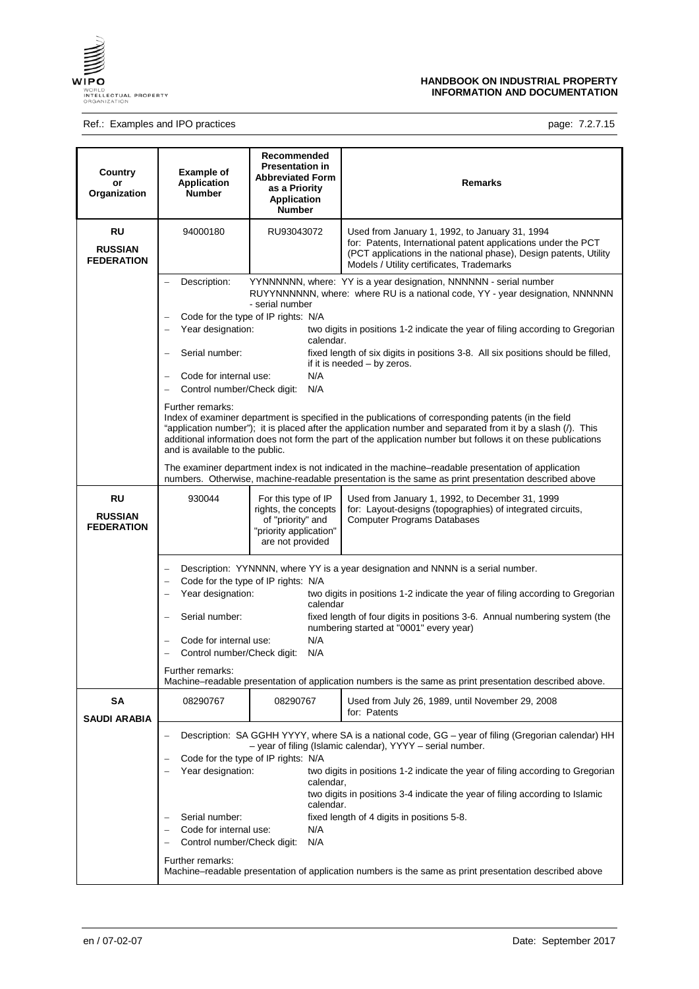

## Ref.: Examples and IPO practices **page: 7.2.7.15** page: 7.2.7.15

| Country<br>or<br>Organization             | <b>Example of</b><br><b>Application</b><br><b>Number</b>                                                                                                                                                                                                                                                                                                                                                                                                                                                                                                                                                                                                                            | Recommended<br><b>Presentation in</b><br><b>Abbreviated Form</b><br>as a Priority<br><b>Application</b><br><b>Number</b> | <b>Remarks</b>                                                                                                                                                                                                                                                                                                                                                                                                                                                                                                                                                                                                                                                                                                                                                                                       |  |  |
|-------------------------------------------|-------------------------------------------------------------------------------------------------------------------------------------------------------------------------------------------------------------------------------------------------------------------------------------------------------------------------------------------------------------------------------------------------------------------------------------------------------------------------------------------------------------------------------------------------------------------------------------------------------------------------------------------------------------------------------------|--------------------------------------------------------------------------------------------------------------------------|------------------------------------------------------------------------------------------------------------------------------------------------------------------------------------------------------------------------------------------------------------------------------------------------------------------------------------------------------------------------------------------------------------------------------------------------------------------------------------------------------------------------------------------------------------------------------------------------------------------------------------------------------------------------------------------------------------------------------------------------------------------------------------------------------|--|--|
| RU<br><b>RUSSIAN</b><br><b>FEDERATION</b> | 94000180                                                                                                                                                                                                                                                                                                                                                                                                                                                                                                                                                                                                                                                                            | RU93043072                                                                                                               | Used from January 1, 1992, to January 31, 1994<br>for: Patents, International patent applications under the PCT<br>(PCT applications in the national phase), Design patents, Utility<br>Models / Utility certificates, Trademarks                                                                                                                                                                                                                                                                                                                                                                                                                                                                                                                                                                    |  |  |
|                                           | Description:<br>$\equiv$<br>Year designation:<br>-<br>Serial number:<br>Code for internal use:<br>$\overline{\phantom{0}}$<br>Control number/Check digit:<br>Further remarks:<br>and is available to the public.                                                                                                                                                                                                                                                                                                                                                                                                                                                                    | - serial number<br>Code for the type of IP rights: N/A<br>calendar.<br>N/A<br>N/A                                        | YYNNNNNN, where: YY is a year designation, NNNNNN - serial number<br>RUYYNNNNNN, where: where RU is a national code, YY - year designation, NNNNNN<br>two digits in positions 1-2 indicate the year of filing according to Gregorian<br>fixed length of six digits in positions 3-8. All six positions should be filled,<br>if it is needed - by zeros.<br>Index of examiner department is specified in the publications of corresponding patents (in the field<br>"application number"); it is placed after the application number and separated from it by a slash (/). This<br>additional information does not form the part of the application number but follows it on these publications<br>The examiner department index is not indicated in the machine-readable presentation of application |  |  |
| RU<br><b>RUSSIAN</b><br><b>FEDERATION</b> | 930044                                                                                                                                                                                                                                                                                                                                                                                                                                                                                                                                                                                                                                                                              | For this type of IP<br>rights, the concepts<br>of "priority" and<br>"priority application"<br>are not provided           | numbers. Otherwise, machine-readable presentation is the same as print presentation described above<br>Used from January 1, 1992, to December 31, 1999<br>for: Layout-designs (topographies) of integrated circuits,<br><b>Computer Programs Databases</b>                                                                                                                                                                                                                                                                                                                                                                                                                                                                                                                                           |  |  |
|                                           | Description: YYNNNN, where YY is a year designation and NNNN is a serial number.<br>$\qquad \qquad -$<br>Code for the type of IP rights: N/A<br>$\overline{\phantom{0}}$<br>Year designation:<br>two digits in positions 1-2 indicate the year of filing according to Gregorian<br>calendar<br>Serial number:<br>fixed length of four digits in positions 3-6. Annual numbering system (the<br>numbering started at "0001" every year)<br>N/A<br>Code for internal use:<br>$\qquad \qquad -$<br>Control number/Check digit:<br>N/A<br>Further remarks:<br>Machine-readable presentation of application numbers is the same as print presentation described above.                   |                                                                                                                          |                                                                                                                                                                                                                                                                                                                                                                                                                                                                                                                                                                                                                                                                                                                                                                                                      |  |  |
| SΑ<br><b>SAUDI ARABIA</b>                 | 08290767<br>08290767<br>Used from July 26, 1989, until November 29, 2008<br>for: Patents<br>Description: SA GGHH YYYY, where SA is a national code, GG – year of filing (Gregorian calendar) HH<br>- year of filing (Islamic calendar), YYYY - serial number.<br>Code for the type of IP rights: N/A<br>Year designation:<br>two digits in positions 1-2 indicate the year of filing according to Gregorian<br>calendar,<br>two digits in positions 3-4 indicate the year of filing according to Islamic<br>calendar.<br>Serial number:<br>fixed length of 4 digits in positions 5-8.<br>$\overline{ }$<br>N/A<br>Code for internal use:<br>Control number/Check digit:<br>N/A<br>- |                                                                                                                          |                                                                                                                                                                                                                                                                                                                                                                                                                                                                                                                                                                                                                                                                                                                                                                                                      |  |  |
|                                           | Further remarks:<br>Machine–readable presentation of application numbers is the same as print presentation described above                                                                                                                                                                                                                                                                                                                                                                                                                                                                                                                                                          |                                                                                                                          |                                                                                                                                                                                                                                                                                                                                                                                                                                                                                                                                                                                                                                                                                                                                                                                                      |  |  |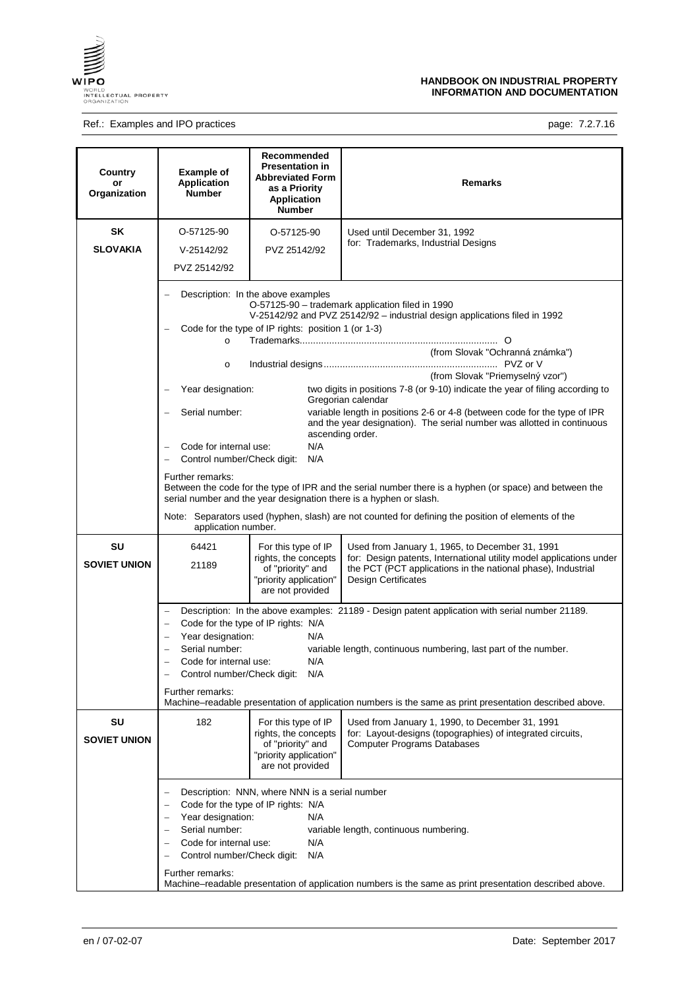

## Ref.: Examples and IPO practices **page: 7.2.7.16** page: 7.2.7.16

| Country<br>or<br>Organization | <b>Example of</b><br><b>Application</b><br><b>Number</b>                                                                                                                                                                                                                                                                                                                                                                                                                                  | Recommended<br><b>Presentation in</b><br><b>Abbreviated Form</b><br>as a Priority<br><b>Application</b><br><b>Number</b> | <b>Remarks</b>                                                                                                                                                                                                                                                                                                                                                                                                                                                                                                                                                                                                                                                                                                                                                                   |
|-------------------------------|-------------------------------------------------------------------------------------------------------------------------------------------------------------------------------------------------------------------------------------------------------------------------------------------------------------------------------------------------------------------------------------------------------------------------------------------------------------------------------------------|--------------------------------------------------------------------------------------------------------------------------|----------------------------------------------------------------------------------------------------------------------------------------------------------------------------------------------------------------------------------------------------------------------------------------------------------------------------------------------------------------------------------------------------------------------------------------------------------------------------------------------------------------------------------------------------------------------------------------------------------------------------------------------------------------------------------------------------------------------------------------------------------------------------------|
| <b>SK</b><br><b>SLOVAKIA</b>  | O-57125-90<br>V-25142/92<br>PVZ 25142/92                                                                                                                                                                                                                                                                                                                                                                                                                                                  | O-57125-90<br>PVZ 25142/92                                                                                               | Used until December 31, 1992<br>for: Trademarks, Industrial Designs                                                                                                                                                                                                                                                                                                                                                                                                                                                                                                                                                                                                                                                                                                              |
|                               | $\circ$<br>$\circ$<br>Year designation:<br>Serial number:<br>Code for internal use:<br>$\equiv$<br>Control number/Check digit:<br>$\overline{\phantom{0}}$<br>Further remarks:<br>application number.                                                                                                                                                                                                                                                                                     | Description: In the above examples<br>Code for the type of IP rights: position 1 (or 1-3)<br>N/A<br>N/A                  | O-57125-90 - trademark application filed in 1990<br>V-25142/92 and PVZ 25142/92 - industrial design applications filed in 1992<br>(from Slovak "Ochranná známka")<br>(from Slovak "Priemyselný vzor")<br>two digits in positions 7-8 (or 9-10) indicate the year of filing according to<br>Gregorian calendar<br>variable length in positions 2-6 or 4-8 (between code for the type of IPR<br>and the year designation). The serial number was allotted in continuous<br>ascending order.<br>Between the code for the type of IPR and the serial number there is a hyphen (or space) and between the<br>serial number and the year designation there is a hyphen or slash.<br>Note: Separators used (hyphen, slash) are not counted for defining the position of elements of the |
| SU<br><b>SOVIET UNION</b>     | 64421<br>21189                                                                                                                                                                                                                                                                                                                                                                                                                                                                            | For this type of IP<br>rights, the concepts<br>of "priority" and<br>"priority application"<br>are not provided           | Used from January 1, 1965, to December 31, 1991<br>for: Design patents, International utility model applications under<br>the PCT (PCT applications in the national phase), Industrial<br><b>Design Certificates</b>                                                                                                                                                                                                                                                                                                                                                                                                                                                                                                                                                             |
|                               | Description: In the above examples: 21189 - Design patent application with serial number 21189.<br>Code for the type of IP rights: N/A<br>Year designation:<br>N/A<br>$\overline{\phantom{m}}$<br>Serial number:<br>variable length, continuous numbering, last part of the number.<br>N/A<br>Code for internal use:<br>Control number/Check digit:<br>N/A<br>Further remarks:<br>Machine–readable presentation of application numbers is the same as print presentation described above. |                                                                                                                          |                                                                                                                                                                                                                                                                                                                                                                                                                                                                                                                                                                                                                                                                                                                                                                                  |
| SU<br><b>SOVIET UNION</b>     | 182                                                                                                                                                                                                                                                                                                                                                                                                                                                                                       | For this type of IP<br>rights, the concepts<br>of "priority" and<br>"priority application"<br>are not provided           | Used from January 1, 1990, to December 31, 1991<br>for: Layout-designs (topographies) of integrated circuits,<br><b>Computer Programs Databases</b>                                                                                                                                                                                                                                                                                                                                                                                                                                                                                                                                                                                                                              |
|                               | Description: NNN, where NNN is a serial number<br>Code for the type of IP rights: N/A<br>Year designation:<br>N/A<br>Serial number:<br>variable length, continuous numbering.<br>N/A<br>Code for internal use:<br>N/A<br>Control number/Check digit:<br>Further remarks:<br>Machine-readable presentation of application numbers is the same as print presentation described above.                                                                                                       |                                                                                                                          |                                                                                                                                                                                                                                                                                                                                                                                                                                                                                                                                                                                                                                                                                                                                                                                  |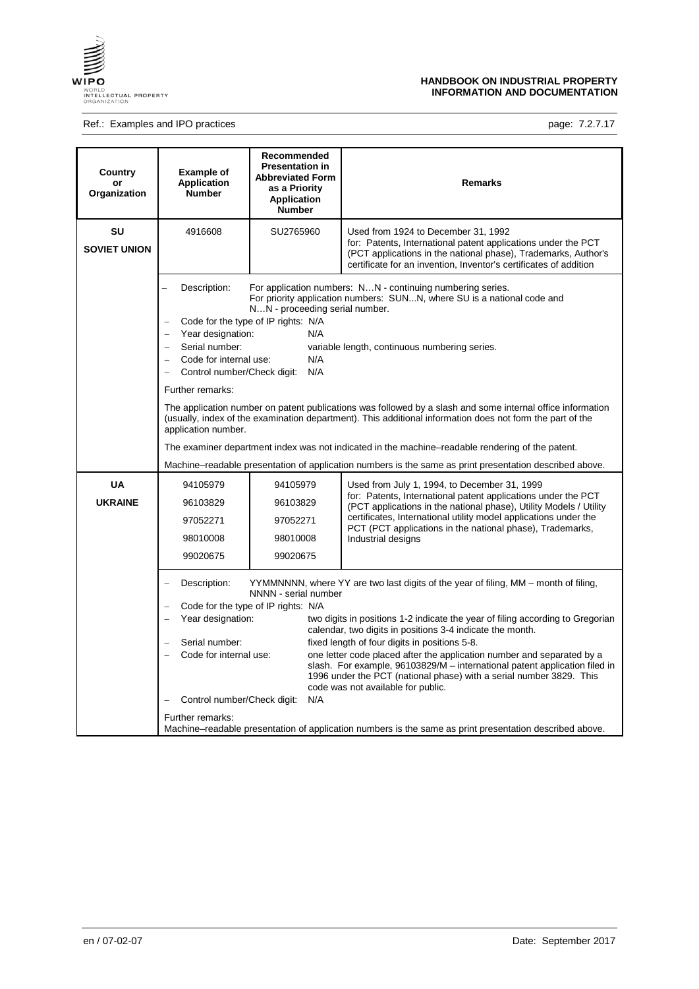

# Ref.: Examples and IPO practices **page: 7.2.7.17** page: 7.2.7.17

| Country<br>or<br>Organization | <b>Example of</b><br><b>Application</b><br><b>Number</b>                                                                                                                                                                                                           | Recommended<br><b>Presentation in</b><br><b>Abbreviated Form</b><br>as a Priority<br><b>Application</b><br><b>Number</b>                                                                                                                                                                                                                                           | <b>Remarks</b>                                                                                                                                                                                                                                                                                                     |  |  |  |
|-------------------------------|--------------------------------------------------------------------------------------------------------------------------------------------------------------------------------------------------------------------------------------------------------------------|--------------------------------------------------------------------------------------------------------------------------------------------------------------------------------------------------------------------------------------------------------------------------------------------------------------------------------------------------------------------|--------------------------------------------------------------------------------------------------------------------------------------------------------------------------------------------------------------------------------------------------------------------------------------------------------------------|--|--|--|
| SU<br><b>SOVIET UNION</b>     | 4916608                                                                                                                                                                                                                                                            | SU2765960                                                                                                                                                                                                                                                                                                                                                          | Used from 1924 to December 31, 1992<br>for: Patents, International patent applications under the PCT<br>(PCT applications in the national phase), Trademarks, Author's<br>certificate for an invention, Inventor's certificates of addition                                                                        |  |  |  |
|                               | Description:<br>Serial number:<br>$\sim$                                                                                                                                                                                                                           | For application numbers: NN - continuing numbering series.<br>For priority application numbers: SUNN, where SU is a national code and<br>NN - proceeding serial number.<br>Code for the type of IP rights: N/A<br>Year designation:<br>N/A<br>variable length, continuous numbering series.<br>Code for internal use:<br>N/A<br>Control number/Check digit:<br>N/A |                                                                                                                                                                                                                                                                                                                    |  |  |  |
|                               | Further remarks:<br>The application number on patent publications was followed by a slash and some internal office information<br>(usually, index of the examination department). This additional information does not form the part of the<br>application number. |                                                                                                                                                                                                                                                                                                                                                                    |                                                                                                                                                                                                                                                                                                                    |  |  |  |
|                               |                                                                                                                                                                                                                                                                    | The examiner department index was not indicated in the machine-readable rendering of the patent.                                                                                                                                                                                                                                                                   |                                                                                                                                                                                                                                                                                                                    |  |  |  |
|                               | Machine–readable presentation of application numbers is the same as print presentation described above.                                                                                                                                                            |                                                                                                                                                                                                                                                                                                                                                                    |                                                                                                                                                                                                                                                                                                                    |  |  |  |
| <b>UA</b>                     | 94105979                                                                                                                                                                                                                                                           | 94105979                                                                                                                                                                                                                                                                                                                                                           | Used from July 1, 1994, to December 31, 1999                                                                                                                                                                                                                                                                       |  |  |  |
| <b>UKRAINE</b>                | 96103829                                                                                                                                                                                                                                                           | 96103829                                                                                                                                                                                                                                                                                                                                                           | for: Patents, International patent applications under the PCT<br>(PCT applications in the national phase), Utility Models / Utility                                                                                                                                                                                |  |  |  |
|                               | 97052271                                                                                                                                                                                                                                                           | 97052271                                                                                                                                                                                                                                                                                                                                                           | certificates, International utility model applications under the<br>PCT (PCT applications in the national phase), Trademarks,                                                                                                                                                                                      |  |  |  |
|                               | 98010008                                                                                                                                                                                                                                                           | 98010008                                                                                                                                                                                                                                                                                                                                                           | Industrial designs                                                                                                                                                                                                                                                                                                 |  |  |  |
|                               | 99020675                                                                                                                                                                                                                                                           | 99020675                                                                                                                                                                                                                                                                                                                                                           |                                                                                                                                                                                                                                                                                                                    |  |  |  |
|                               | Description:<br>YYMMNNNN, where YY are two last digits of the year of filing, MM – month of filing,<br>NNNN - serial number<br>Code for the type of IP rights: N/A                                                                                                 |                                                                                                                                                                                                                                                                                                                                                                    |                                                                                                                                                                                                                                                                                                                    |  |  |  |
|                               | Year designation:                                                                                                                                                                                                                                                  |                                                                                                                                                                                                                                                                                                                                                                    | two digits in positions 1-2 indicate the year of filing according to Gregorian<br>calendar, two digits in positions 3-4 indicate the month.                                                                                                                                                                        |  |  |  |
|                               | Serial number:<br>Code for internal use:                                                                                                                                                                                                                           | N/A                                                                                                                                                                                                                                                                                                                                                                | fixed length of four digits in positions 5-8.<br>one letter code placed after the application number and separated by a<br>slash. For example, 96103829/M - international patent application filed in<br>1996 under the PCT (national phase) with a serial number 3829. This<br>code was not available for public. |  |  |  |
|                               | $\qquad \qquad -$                                                                                                                                                                                                                                                  | Control number/Check digit:<br>Further remarks:                                                                                                                                                                                                                                                                                                                    |                                                                                                                                                                                                                                                                                                                    |  |  |  |
|                               | Machine–readable presentation of application numbers is the same as print presentation described above.                                                                                                                                                            |                                                                                                                                                                                                                                                                                                                                                                    |                                                                                                                                                                                                                                                                                                                    |  |  |  |